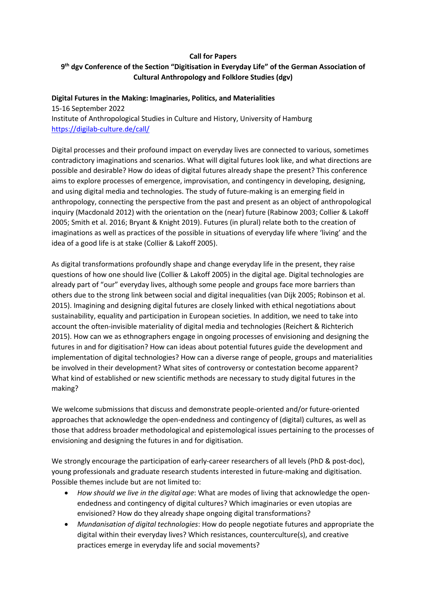## **Call for Papers 9th dgv Conference of the Section "Digitisation in Everyday Life" of the German Association of Cultural Anthropology and Folklore Studies (dgv)**

## **Digital Futures in the Making: Imaginaries, Politics, and Materialities**

15-16 September 2022 Institute of Anthropological Studies in Culture and History, University of Hamburg https://digilab-culture.de/call/

Digital processes and their profound impact on everyday lives are connected to various, sometimes contradictory imaginations and scenarios. What will digital futures look like, and what directions are possible and desirable? How do ideas of digital futures already shape the present? This conference aims to explore processes of emergence, improvisation, and contingency in developing, designing, and using digital media and technologies. The study of future-making is an emerging field in anthropology, connecting the perspective from the past and present as an object of anthropological inquiry (Macdonald 2012) with the orientation on the (near) future (Rabinow 2003; Collier & Lakoff 2005; Smith et al. 2016; Bryant & Knight 2019). Futures (in plural) relate both to the creation of imaginations as well as practices of the possible in situations of everyday life where 'living' and the idea of a good life is at stake (Collier & Lakoff 2005).

As digital transformations profoundly shape and change everyday life in the present, they raise questions of how one should live (Collier & Lakoff 2005) in the digital age. Digital technologies are already part of "our" everyday lives, although some people and groups face more barriers than others due to the strong link between social and digital inequalities (van Dijk 2005; Robinson et al. 2015). Imagining and designing digital futures are closely linked with ethical negotiations about sustainability, equality and participation in European societies. In addition, we need to take into account the often-invisible materiality of digital media and technologies (Reichert & Richterich 2015). How can we as ethnographers engage in ongoing processes of envisioning and designing the futures in and for digitisation? How can ideas about potential futures guide the development and implementation of digital technologies? How can a diverse range of people, groups and materialities be involved in their development? What sites of controversy or contestation become apparent? What kind of established or new scientific methods are necessary to study digital futures in the making?

We welcome submissions that discuss and demonstrate people-oriented and/or future-oriented approaches that acknowledge the open-endedness and contingency of (digital) cultures, as well as those that address broader methodological and epistemological issues pertaining to the processes of envisioning and designing the futures in and for digitisation.

We strongly encourage the participation of early-career researchers of all levels (PhD & post-doc), young professionals and graduate research students interested in future-making and digitisation. Possible themes include but are not limited to:

- *How should we live in the digital age*: What are modes of living that acknowledge the openendedness and contingency of digital cultures? Which imaginaries or even utopias are envisioned? How do they already shape ongoing digital transformations?
- *Mundanisation of digital technologies*: How do people negotiate futures and appropriate the digital within their everyday lives? Which resistances, counterculture(s), and creative practices emerge in everyday life and social movements?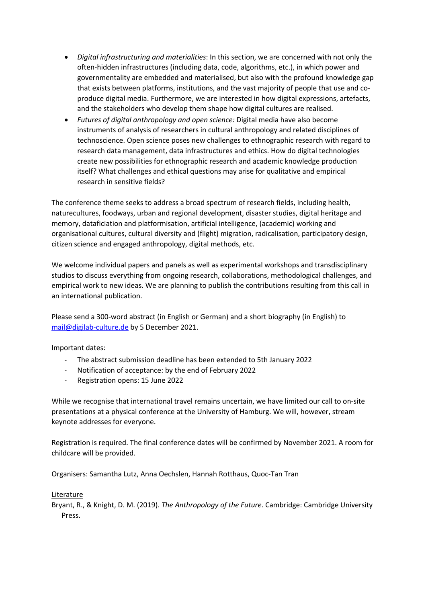- *Digital infrastructuring and materialities*: In this section, we are concerned with not only the often-hidden infrastructures (including data, code, algorithms, etc.), in which power and governmentality are embedded and materialised, but also with the profound knowledge gap that exists between platforms, institutions, and the vast majority of people that use and coproduce digital media. Furthermore, we are interested in how digital expressions, artefacts, and the stakeholders who develop them shape how digital cultures are realised.
- *Futures of digital anthropology and open science:* Digital media have also become instruments of analysis of researchers in cultural anthropology and related disciplines of technoscience. Open science poses new challenges to ethnographic research with regard to research data management, data infrastructures and ethics. How do digital technologies create new possibilities for ethnographic research and academic knowledge production itself? What challenges and ethical questions may arise for qualitative and empirical research in sensitive fields?

The conference theme seeks to address a broad spectrum of research fields, including health, naturecultures, foodways, urban and regional development, disaster studies, digital heritage and memory, dataficiation and platformisation, artificial intelligence, (academic) working and organisational cultures, cultural diversity and (flight) migration, radicalisation, participatory design, citizen science and engaged anthropology, digital methods, etc.

We welcome individual papers and panels as well as experimental workshops and transdisciplinary studios to discuss everything from ongoing research, collaborations, methodological challenges, and empirical work to new ideas. We are planning to publish the contributions resulting from this call in an international publication.

Please send a 300-word abstract (in English or German) and a short biography (in English) to mail@digilab-culture.de by 5 December 2021.

Important dates:

- The abstract submission deadline has been extended to 5th January 2022
- Notification of acceptance: by the end of February 2022
- Registration opens: 15 June 2022

While we recognise that international travel remains uncertain, we have limited our call to on-site presentations at a physical conference at the University of Hamburg. We will, however, stream keynote addresses for everyone.

Registration is required. The final conference dates will be confirmed by November 2021. A room for childcare will be provided.

Organisers: Samantha Lutz, Anna Oechslen, Hannah Rotthaus, Quoc-Tan Tran

## Literature

Bryant, R., & Knight, D. M. (2019). *The Anthropology of the Future*. Cambridge: Cambridge University Press.